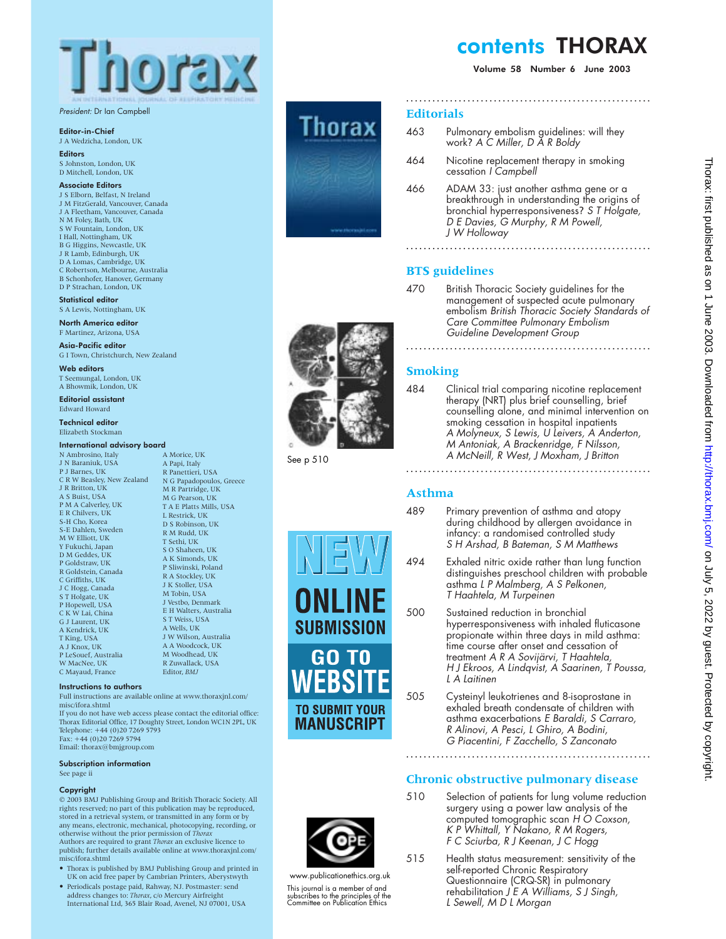

President: Dr Ian Campbell

#### Editor-in-Chief

- J A Wedzicha, London, UK **Editors**
- S Johnston, London, UK D Mitchell, London, UK

Associate Editors

- J S Elborn, Belfast, N Ireland
- J M FitzGerald, Vancouver, Canada J A Fleetham, Vancouver, Canada N M Foley, Bath, UK S W Fountain, London, UK I Hall, Nottingham, UK
- B G Higgins, Newcastle, UK J R Lamb, Edinburgh, UK
- D A Lomas, Cambridge, UK
- C Robertson, Melbourne, Australia B Schonhofer, Hanover, Germany
- D P Strachan, London, UK

Statistical editor S A Lewis, Nottingham, UK

North America editor

F Martinez, Arizona, USA Asia-Pacific editor

G I Town, Christchurch, New Zealand

Web editors T Seemungal, London, UK

A Bhowmik, London, UK Editorial assistant

Edward Howard Technical editor

Elizabeth Stockman

#### International advisory board A Morice, UK

- N Ambrosino, Italy J N Baraniuk, USA P J Barnes, UK C R W Beasley, New Zealand N G Papadopoulos, Greece J R Britton, UK A S Buist, USA P M A Calverley, UK E R Chilvers, UK S-H Cho, Korea S-E Dahlen, Sweden M W Elliott, UK Y Fukuchi, Japan D M Geddes, UK P Goldstraw, UK R Goldstein, Canada C Griffiths, UK J C Hogg, Canada S T Holgate, UK P Hopewell, USA C K W Lai, China G J Laurent, UK A Kendrick, UK T King, USA A J Knox, UK P LeSouef, Australia W MacNee, UK C Mayaud, France
	- A Papi, Italy R Panettieri, USA M R Partridge, UK M G Pearson, UK T A E Platts Mills, USA L Restrick, UK D S Robinson, UK R M Rudd, UK T Sethi, UK S O Shaheen, UK A K Simonds, UK P Sliwinski, Poland R A Stockley, UK J K Stoller, USA M Tobin, USA J Vestbo, Denmark E H Walters, Australia S T Weiss, USA A Wells, UK J W Wilson, Australia A A Woodcock, UK M Woodhead, UK R Zuwallack, USA Editor, *BMJ*

#### Instructions to authors

Full instructions are available online at www.thoraxjnl.com/ misc/ifora.shtml

If you do not have web access please contact the editorial office: Thorax Editorial Office, 17 Doughty Street, London WC1N 2PL, UK Telephone: +44 (0)20 7269 5793 Fax: +44 (0)20 7269 5794 Email: thorax@bmjgroup.com

#### Subscription information

See page ii

#### Copyright

© 2003 BMJ Publishing Group and British Thoracic Society. All rights reserved; no part of this publication may be reproduced, stored in a retrieval system, or transmitted in any form or by any means, electronic, mechanical, photocopying, recording, or otherwise without the prior permission of *Thorax* Authors are required to grant *Thorax* an exclusive licence to publish; further details available online at www.thoraxjnl.com/ misc/ifora.shtml

- Thorax is published by BMJ Publishing Group and printed in UK on acid free paper by Cambrian Printers, Aberystwyth
- Periodicals postage paid, Rahway, NJ. Postmaster: send address changes to: *Thorax*, c/o Mercury Airfreight International Ltd, 365 Blair Road, Avenel, NJ 07001, USA



See p 510

# contents THORAX

Volume 58 Number 6 June 2003

## **Editorials**

463 Pulmonary embolism guidelines: will they work? A C Miller, D A R Boldy

**........................................................**

- 464 Nicotine replacement therapy in smoking cessation <sup>I</sup> Campbell
- 466 ADAM 33: just another asthma gene or a breakthrough in understanding the origins of bronchial hyperresponsiveness? S <sup>T</sup> Holgate, <sup>D</sup> <sup>E</sup> Davies, G Murphy, <sup>R</sup> M Powell, J W Holloway

**........................................................**

# **BTS guidelines**

470 British Thoracic Society guidelines for the management of suspected acute pulmonary embolism British Thoracic Society Standards of Care Committee Pulmonary Embolism Guideline Development Group

**........................................................**

# **Smoking**

484 Clinical trial comparing nicotine replacement therapy (NRT) plus brief counselling, brief counselling alone, and minimal intervention on smoking cessation in hospital inpatients A Molyneux, S Lewis, U Leivers, A Anderton, M Antoniak, A Brackenridge, <sup>F</sup> Nilsson, A McNeill, R West, J Moxham, J Britton

## **Asthma**

- 
- 489 Primary prevention of asthma and atopy during childhood by allergen avoidance in infancy: a randomised controlled study S H Arshad, B Bateman, S M Matthews

**........................................................**

- 494 Exhaled nitric oxide rather than lung function distinguishes preschool children with probable asthma <sup>L</sup> <sup>P</sup> Malmberg, A S Pelkonen, <sup>T</sup> Haahtela, M Turpeinen
- 500 Sustained reduction in bronchial hyperresponsiveness with inhaled fluticasone propionate within three days in mild asthma: time course after onset and cessation of treatment A <sup>R</sup> A Sovijärvi, <sup>T</sup> Haahtela, <sup>H</sup> J Ekroos, A Lindqvist, A Saarinen, <sup>T</sup> Poussa, L A Laitinen
- 505 Cysteinyl leukotrienes and 8-isoprostane in exhaled breath condensate of children with asthma exacerbations E Baraldi, S Carraro, R Alinovi, A Pesci, L Ghiro, A Bodini, G Piacentini, F Zacchello, S Zanconato

# **Chronic obstructive pulmonary disease**



**SUBMISSION** 

GO TO

**TO SUBMIT YOUR** MANUSCRIPT

This journal is a member of and subscribes to the principles of the Committee on Publication Ethics

- 510 Selection of patients for lung volume reduction surgery using a power law analysis of the computed tomographic scan H O Coxson, <sup>K</sup> <sup>P</sup> Whittall, <sup>Y</sup> Nakano, <sup>R</sup> M Rogers, <sup>F</sup> C Sciurba, <sup>R</sup> J Keenan, J C Hogg
- 515 Health status measurement: sensitivity of the self-reported Chronic Respiratory Questionnaire (CRQ-SR) in pulmonary rehabilitation J <sup>E</sup> A Williams, S J Singh, <sup>L</sup> Sewell, M <sup>D</sup> <sup>L</sup> Morgan





www.publicationethics.org.uk